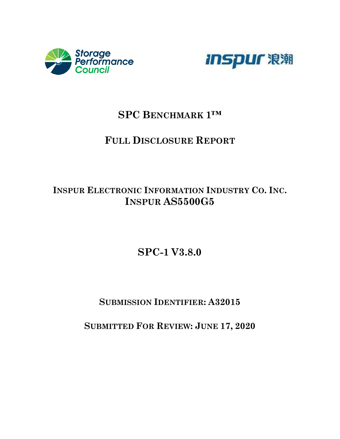



## **SPC BENCHMARK 1™**

## **FULL DISCLOSURE REPORT**

## **INSPUR ELECTRONIC INFORMATION INDUSTRY CO. INC. INSPUR AS5500G5**

# **SPC-1 V3.8.0**

## **SUBMISSION IDENTIFIER: A32015**

## **SUBMITTED FOR REVIEW: JUNE 17, 2020**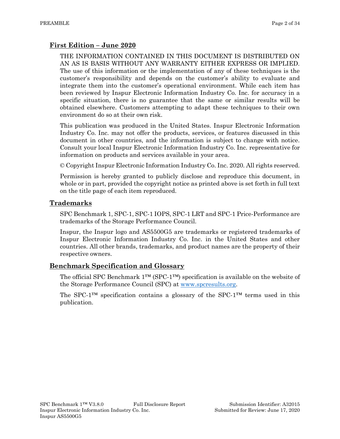### **First Edition – June 2020**

THE INFORMATION CONTAINED IN THIS DOCUMENT IS DISTRIBUTED ON AN AS IS BASIS WITHOUT ANY WARRANTY EITHER EXPRESS OR IMPLIED. The use of this information or the implementation of any of these techniques is the customer's responsibility and depends on the customer's ability to evaluate and integrate them into the customer's operational environment. While each item has been reviewed by Inspur Electronic Information Industry Co. Inc. for accuracy in a specific situation, there is no guarantee that the same or similar results will be obtained elsewhere. Customers attempting to adapt these techniques to their own environment do so at their own risk.

This publication was produced in the United States. Inspur Electronic Information Industry Co. Inc. may not offer the products, services, or features discussed in this document in other countries, and the information is subject to change with notice. Consult your local Inspur Electronic Information Industry Co. Inc. representative for information on products and services available in your area.

© Copyright Inspur Electronic Information Industry Co. Inc. 2020. All rights reserved.

Permission is hereby granted to publicly disclose and reproduce this document, in whole or in part, provided the copyright notice as printed above is set forth in full text on the title page of each item reproduced.

#### **Trademarks**

SPC Benchmark 1, SPC-1, SPC-1 IOPS, SPC-1 LRT and SPC-1 Price-Performance are trademarks of the Storage Performance Council.

Inspur, the Inspur logo and AS5500G5 are trademarks or registered trademarks of Inspur Electronic Information Industry Co. Inc. in the United States and other countries. All other brands, trademarks, and product names are the property of their respective owners.

### **Benchmark Specification and Glossary**

The official SPC Benchmark  $1^{TM}$  (SPC- $1^{TM}$ ) specification is available on the website of the Storage Performance Council (SPC) at [www.spcresults.org.](http://www.spcresults.org/)

The SPC-1™ specification contains a glossary of the SPC-1™ terms used in this publication.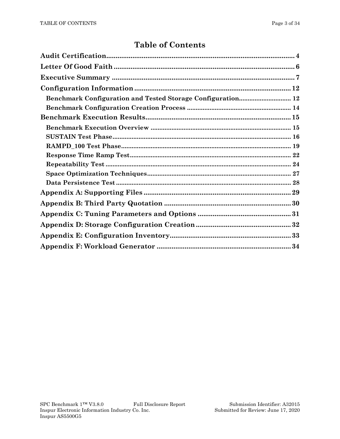## **Table of Contents**

| <b>Benchmark Configuration and Tested Storage Configuration 12</b> |
|--------------------------------------------------------------------|
|                                                                    |
|                                                                    |
|                                                                    |
|                                                                    |
|                                                                    |
|                                                                    |
|                                                                    |
|                                                                    |
|                                                                    |
|                                                                    |
|                                                                    |
|                                                                    |
|                                                                    |
|                                                                    |
|                                                                    |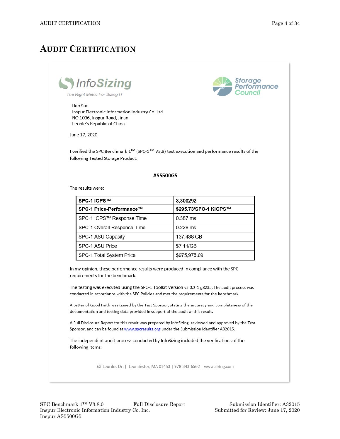## <span id="page-3-0"></span>**AUDIT CERTIFICATION**





#### Hao Sun

Inspur Electronic Information Industry Co. Ltd. NO.1036, Inspur Road, Jinan People's Republic of China

June 17, 2020

I verified the SPC Benchmark 1<sup>™</sup> (SPC-1<sup>™</sup> V3.8) test execution and performance results of the following Tested Storage Product:

#### AS5500G5

The results were:

| I SPC-1 IOPS™               | 3,300292              |
|-----------------------------|-----------------------|
| l SPC-1 Price-Performance™  | \$295.73/SPC-1 KIOPS™ |
| SPC-1 IOPS™ Response Time   | $0.387$ ms            |
| SPC-1 Overall Response Time | $0.228$ ms            |
| SPC-1 ASU Capacity          | 137,438 GB            |
| SPC-1 ASU Price             | \$7.11/GB             |
| SPC-1 Total System Price    | \$975,975.69          |

In my opinion, these performance results were produced in compliance with the SPC requirements for the benchmark.

The testing was executed using the SPC-1 Toolkit Version v3.0.2-1-g823a. The audit process was conducted in accordance with the SPC Policies and met the requirements for the benchmark.

A Letter of Good Faith was issued by the Test Sponsor, stating the accuracy and completeness of the documentation and testing data provided in support of the audit of this result.

A Full Disclosure Report for this result was prepared by InfoSizing, reviewed and approved by the Test Sponsor, and can be found at www.spcresults.org under the Submission Identifier A32015.

The independent audit process conducted by InfoSizing included the verifications of the following items:

63 Lourdes Dr. | Leominster, MA 01453 | 978-343-6562 | www.sizing.com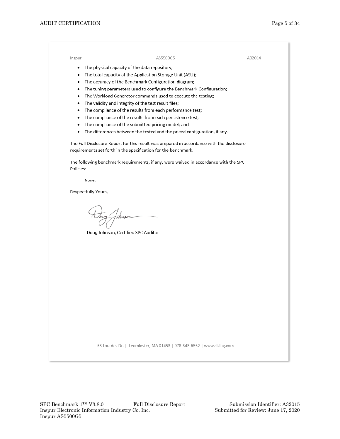Inspur

#### AS5500G5

A32014

- The physical capacity of the data repository;
- The total capacity of the Application Storage Unit (ASU);
- The accuracy of the Benchmark Configuration diagram;
- The tuning parameters used to configure the Benchmark Configuration;
- The Workload Generator commands used to execute the testing;
- The validity and integrity of the test result files;
- The compliance of the results from each performance test;
- The compliance of the results from each persistence test;  $\bullet$
- $\bullet$ The compliance of the submitted pricing model; and
- The differences between the tested and the priced configuration, if any.  $\bullet$

The Full Disclosure Report for this result was prepared in accordance with the disclosure requirements set forth in the specification for the benchmark.

The following benchmark requirements, if any, were waived in accordance with the SPC Policies:

None.

Respectfully Yours,

tahns

Doug Johnson, Certified SPC Auditor

63 Lourdes Dr. | Leominster, MA 01453 | 978-343-6562 | www.sizing.com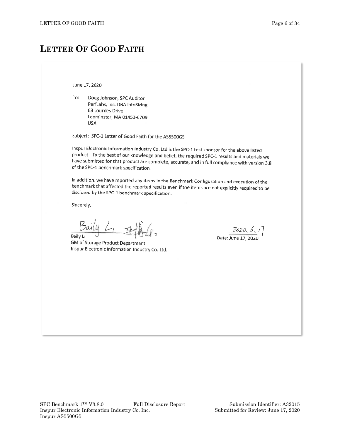## <span id="page-5-0"></span>**LETTER OF GOOD FAITH**

June 17, 2020

To: Doug Johnson, SPC Auditor PerfLabs, Inc. DBA InfoSizing 63 Lourdes Drive Leominster, MA 01453-6709 **USA** 

Subject: SPC-1 Letter of Good Faith for the AS5500G5

Inspur Electronic Information Industry Co. Ltd is the SPC-1 test sponsor for the above listed product. To the best of our knowledge and belief, the required SPC-1 results and materials we have submitted for that product are complete, accurate, and in full compliance with version 3.8 of the SPC-1 benchmark specification.

In addition, we have reported any items in the Benchmark Configuration and execution of the benchmark that affected the reported results even if the items are not explicitly required to be disclosed by the SPC-1 benchmark specification.

Sincerely,

**Baily Li** 

GM of Storage Product Department Inspur Electronic Information Industry Co. Ltd.

 $2020, 6.1$ Date: June 17, 2020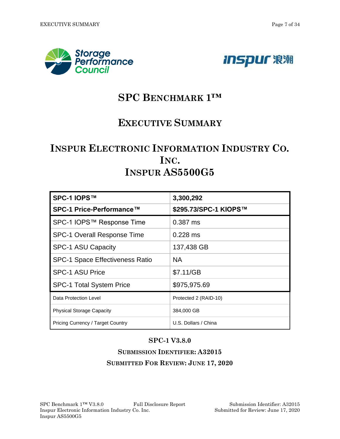<span id="page-6-0"></span>



# **SPC BENCHMARK 1™**

## **EXECUTIVE SUMMARY**

# **INSPUR ELECTRONIC INFORMATION INDUSTRY CO. INC. INSPUR AS5500G5**

| SPC-1 IOPS™                              | 3,300,292             |
|------------------------------------------|-----------------------|
| SPC-1 Price-Performance™                 | \$295.73/SPC-1 KIOPS™ |
| SPC-1 IOPS™ Response Time                | 0.387 ms              |
| <b>SPC-1 Overall Response Time</b>       | $0.228$ ms            |
| <b>SPC-1 ASU Capacity</b>                | 137,438 GB            |
| <b>SPC-1 Space Effectiveness Ratio</b>   | NA.                   |
| <b>SPC-1 ASU Price</b>                   | \$7.11/GB             |
| <b>SPC-1 Total System Price</b>          | \$975,975.69          |
| Data Protection Level                    | Protected 2 (RAID-10) |
| <b>Physical Storage Capacity</b>         | 384,000 GB            |
| <b>Pricing Currency / Target Country</b> | U.S. Dollars / China  |

## **SPC-1 V3.8.0**

## **SUBMISSION IDENTIFIER: A32015 SUBMITTED FOR REVIEW: JUNE 17, 2020**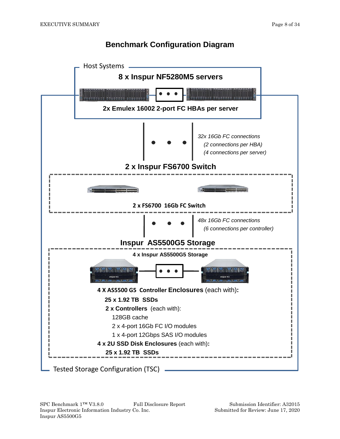## **Benchmark Configuration Diagram**

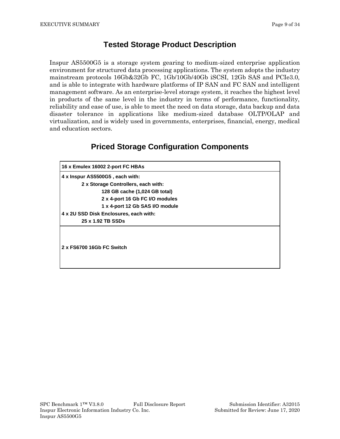## **Tested Storage Product Description**

Inspur AS5500G5 is a storage system gearing to medium-sized enterprise application environment for structured data processing applications. The system adopts the industry mainstream protocols 16Gb&32Gb FC, 1Gb/10Gb/40Gb iSCSI, 12Gb SAS and PCIe3.0, and is able to integrate with hardware platforms of IP SAN and FC SAN and intelligent management software. As an enterprise-level storage system, it reaches the highest level in products of the same level in the industry in terms of performance, functionality, reliability and ease of use, is able to meet the need on data storage, data backup and data disaster tolerance in applications like medium-sized database OLTP/OLAP and virtualization, and is widely used in governments, enterprises, financial, energy, medical and education sectors.

## **Priced Storage Configuration Components**

| 16 x Emulex 16002 2-port FC HBAs       |
|----------------------------------------|
| 4 x Inspur AS5500G5, each with:        |
| 2 x Storage Controllers, each with:    |
| 128 GB cache (1,024 GB total)          |
| 2 x 4-port 16 Gb FC I/O modules        |
| 1 x 4-port 12 Gb SAS I/O module        |
| 4 x 2U SSD Disk Enclosures, each with: |
| 25 x 1.92 TB SSDs                      |
| 2 x FS6700 16Gb FC Switch              |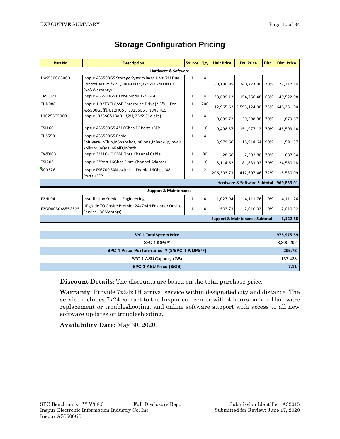| Part No.                                   | <b>Description</b>                                                                                                       | Source Qty   |                | <b>Unit Price</b> | <b>Ext. Price</b>                         | Disc.     | <b>Disc. Price</b> |
|--------------------------------------------|--------------------------------------------------------------------------------------------------------------------------|--------------|----------------|-------------------|-------------------------------------------|-----------|--------------------|
| Hardware & Software                        |                                                                                                                          |              |                |                   |                                           |           |                    |
| UAS5500G5000                               | Inspur AS5500G5 Storage System Base Unit (2U, Dual<br>Controllers, 25*2.5", BBU+Flash, 3Y 5x10xND Basic<br>Svc&Warranty) | $\mathbf{1}$ | 4              | 60,180.95         | 240,723.80                                | 70%       | 72,217.14          |
| TM0071                                     | Inspur AS5500G5 Cache Module-256GB                                                                                       | $\mathbf{1}$ | 4              | 38,689.12         | 154,756.48                                | 68%       | 49,522.08          |
| <b>THD088</b>                              | Inspur 1.92TB TLC SSD Enterprise Drive(2.5"), For<br>AS5500G5的J012HG5、J025SG5、J048HG5                                    | $\mathbf{1}$ | 200            | 12,965.62         | 2,593,124.00                              | 75%       | 648,281.00         |
| UJ025SG50001                               | Inspur J025SG5 JBoD (2U, 25*2.5" disks)                                                                                  | $\mathbf{1}$ | 4              | 9.899.72          | 39,598.88                                 | 70%       | 11,879.67          |
| TSJ160                                     | Inpsur AS5500G5 4*16Gbps FC Ports +SFP                                                                                   | $\mathbf{1}$ | 16             | 9,498.57          | 151,977.12                                | 70%       | 45,593.14          |
| <b>THS550</b>                              | Inspur AS5500G5 Basic<br>Software(InThin,InSnapshot,InClone,InBackup,InVdis<br>kMirror, InQos, InRAID, InPath)           | $\mathbf{1}$ | 4              | 3,979.66          | 15,918.64                                 | 90%       | 1,591.87           |
| <b>TWF003</b>                              | Inspur 3M LC-LC OM4 Fibre Channel Cable                                                                                  | $\mathbf{1}$ | 80             | 28.66             | 2,292.80                                  | 70%       | 687.84             |
| <b>TSJ203</b>                              | Inspur 2*Port 16Gbps Fibre Channel Adapter                                                                               | $\mathbf{1}$ | 16             | 5,114.62          | 81,833.92                                 | 70%       | 24,550.18          |
| 500326                                     | Inspur FS6700 SAN switch, Enable 16Gbps*48<br>Ports,+SFP                                                                 | $\mathbf{1}$ | $\overline{2}$ | 206,303.73        | 412,607.46                                | 72%       | 115,530.09         |
| <b>Hardware &amp; Software Subtotal</b>    |                                                                                                                          |              |                |                   |                                           |           | 969,853.01         |
|                                            | <b>Support &amp; Maintenance</b>                                                                                         |              |                |                   |                                           |           |                    |
| <b>F2HII04</b>                             | Installation Service - Engineering                                                                                       | $\mathbf{1}$ | 4              | 1,027.94          | 4,111.76                                  | 0%        | 4,111.76           |
| F2GD0030AS55G525                           | UPgrade TO Onsite Premier 24x7x4H Engineer Onsite<br>Service - 36Month(s)                                                | $\mathbf{1}$ | 4              | 502.73            | 2,010.92                                  | 0%        | 2,010.92           |
|                                            |                                                                                                                          |              |                |                   | <b>Support &amp; Maintenance Subtotal</b> |           | 6,122.68           |
|                                            |                                                                                                                          |              |                |                   |                                           |           |                    |
| <b>SPC-1 Total System Price</b>            |                                                                                                                          |              |                |                   |                                           |           | 975,975.69         |
| SPC-1 IOPS™                                |                                                                                                                          |              |                |                   |                                           | 3,300,292 |                    |
| SPC-1 Price-Performance™ (\$/SPC-1 KIOPS™) |                                                                                                                          |              |                |                   |                                           | 295.73    |                    |
| SPC-1 ASU Capacity (GB)                    |                                                                                                                          |              |                |                   |                                           | 137,438   |                    |
| SPC-1 ASU Price (\$/GB)                    |                                                                                                                          |              |                |                   |                                           |           | 7.11               |

## **Storage Configuration Pricing**

**Discount Details**: The discounts are based on the total purchase price.

**Warranty**: Provide 7x24x4H arrival service within designated city and distance. The service includes 7x24 contact to the Inspur call center with 4-hours on-site Hardware replacement or troubleshooting, and online software support with access to all new software updates or troubleshooting.

**Availability Date**: May 30, 2020.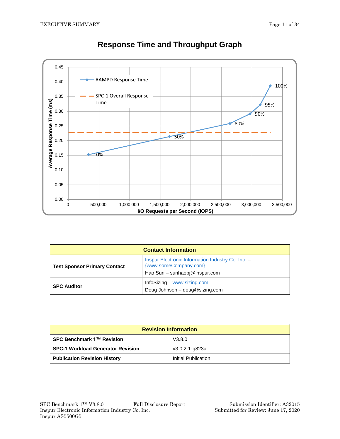

## **Response Time and Throughput Graph**

| <b>Contact Information</b>          |                                                                                                                    |  |  |  |  |
|-------------------------------------|--------------------------------------------------------------------------------------------------------------------|--|--|--|--|
| <b>Test Sponsor Primary Contact</b> | <b>Inspur Electronic Information Industry Co. Inc. -</b><br>{www.someCompany.com}<br>Hao Sun - sunhaobj@inspur.com |  |  |  |  |
| <b>SPC Auditor</b>                  | InfoSizing $-$ www.sizing.com<br>Doug Johnson - doug@sizing.com                                                    |  |  |  |  |

| <b>Revision Information</b>              |                     |  |  |  |
|------------------------------------------|---------------------|--|--|--|
| SPC Benchmark 1™ Revision                | V3.8.0              |  |  |  |
| <b>SPC-1 Workload Generator Revision</b> | v3.0.2-1-g823a      |  |  |  |
| <b>Publication Revision History</b>      | Initial Publication |  |  |  |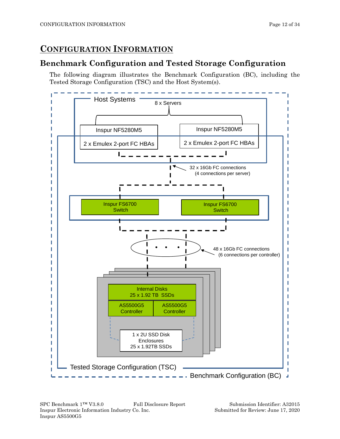## <span id="page-11-0"></span>**CONFIGURATION INFORMATION**

## <span id="page-11-1"></span>**Benchmark Configuration and Tested Storage Configuration**

The following diagram illustrates the Benchmark Configuration (BC), including the Tested Storage Configuration (TSC) and the Host System(s).

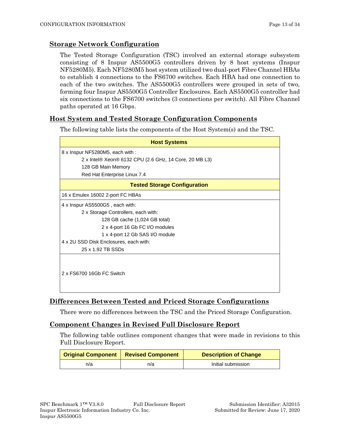#### **Storage Network Configuration**

The Tested Storage Configuration (TSC) involved an external storage subsystem consisting of 8 Inspur AS5500G5 controllers driven by 8 host systems (Inspur NF5280M5). Each NF5280M5 host system utilized two dual-port Fibre Channel HBAs to establish 4 connections to the FS6700 switches. Each HBA had one connection to each of the two switches. The AS5500G5 controllers were grouped in sets of two, forming four Inspur AS5500G5 Controller Enclosures. Each AS5500G5 controller had six connections to the FS6700 switches (3 connections per switch). All Fibre Channel paths operated at 16 Gbps.

### **Host System and Tested Storage Configuration Components**

The following table lists the components of the Host System(s) and the TSC.

| <b>Host Systems</b>                                    |
|--------------------------------------------------------|
| 8 x Inspur NF5280M5, each with :                       |
| 2 x Intel® Xeon® 6132 CPU (2.6 GHz, 14 Core, 20 MB L3) |
| 128 GB Main Memory                                     |
| Red Hat Enterprise Linux 7.4                           |
| <b>Tested Storage Configuration</b>                    |
| 16 x Emulex 16002 2-port FC HBAs                       |
| 4 x Inspur AS5500G5, each with:                        |
| 2 x Storage Controllers, each with:                    |
| 128 GB cache (1,024 GB total)                          |
| 2 x 4-port 16 Gb FC I/O modules                        |
| 1 x 4-port 12 Gb SAS I/O module                        |
| 4 x 2U SSD Disk Enclosures, each with:                 |
| 25 x 1.92 TB SSDs                                      |
| 2 x FS6700 16Gb FC Switch                              |

### **Differences Between Tested and Priced Storage Configurations**

There were no differences between the TSC and the Priced Storage Configuration.

### **Component Changes in Revised Full Disclosure Report**

The following table outlines component changes that were made in revisions to this Full Disclosure Report.

|     | Original Component   Revised Component | <b>Description of Change</b> |
|-----|----------------------------------------|------------------------------|
| n/a | n/a                                    | Initial submission           |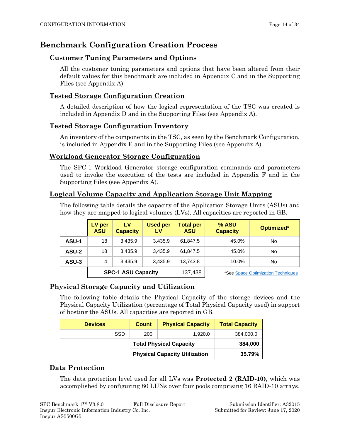## <span id="page-13-0"></span>**Benchmark Configuration Creation Process**

### **Customer Tuning Parameters and Options**

All the customer tuning parameters and options that have been altered from their default values for this benchmark are included in Appendix C and in the Supporting Files (see Appendix A).

### **Tested Storage Configuration Creation**

A detailed description of how the logical representation of the TSC was created is included in Appendix D and in the Supporting Files (see Appendix A).

### **Tested Storage Configuration Inventory**

An inventory of the components in the TSC, as seen by the Benchmark Configuration, is included in Appendix E and in the Supporting Files (see Appendix A).

### **Workload Generator Storage Configuration**

The SPC-1 Workload Generator storage configuration commands and parameters used to invoke the execution of the tests are included in Appendix F and in the Supporting Files (see Appendix A).

### **Logical Volume Capacity and Application Storage Unit Mapping**

The following table details the capacity of the Application Storage Units (ASUs) and how they are mapped to logical volumes (LVs). All capacities are reported in GB.

|       | LV per<br><b>ASU</b> | LV<br><b>Capacity</b>     | <b>Used per</b><br>LV | <b>Total per</b><br><b>ASU</b> | % ASU<br><b>Capacity</b> | Optimized*                         |
|-------|----------------------|---------------------------|-----------------------|--------------------------------|--------------------------|------------------------------------|
| ASU-1 | 18                   | 3.435.9                   | 3.435.9               | 61,847.5                       | 45.0%                    | No                                 |
| ASU-2 | 18                   | 3.435.9                   | 3.435.9               | 61.847.5                       | 45.0%                    | No                                 |
| ASU-3 | 4                    | 3.435.9                   | 3.435.9               | 13,743.8                       | 10.0%                    | No                                 |
|       |                      | <b>SPC-1 ASU Capacity</b> |                       | 137,438                        |                          | *See Space Optimization Techniques |

## **Physical Storage Capacity and Utilization**

The following table details the Physical Capacity of the storage devices and the Physical Capacity Utilization (percentage of Total Physical Capacity used) in support of hosting the ASUs. All capacities are reported in GB.

| <b>Devices</b> | <b>Count</b>                         | <b>Physical Capacity</b>       | <b>Total Capacity</b> |
|----------------|--------------------------------------|--------------------------------|-----------------------|
| SSD            | 200                                  | 1,920.0                        | 384,000.0             |
|                |                                      | <b>Total Physical Capacity</b> | 384,000               |
|                | <b>Physical Capacity Utilization</b> |                                | 35.79%                |

### **Data Protection**

The data protection level used for all LVs was **Protected 2 (RAID-10)**, which was accomplished by configuring 80 LUNs over four pools comprising 16 RAID-10 arrays.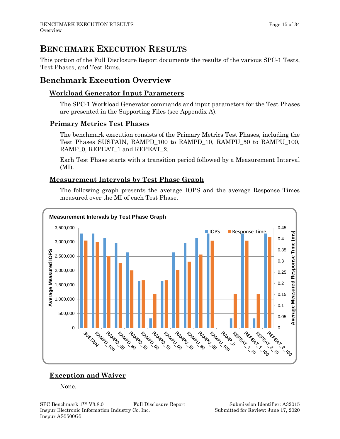## <span id="page-14-0"></span>**BENCHMARK EXECUTION RESULTS**

This portion of the Full Disclosure Report documents the results of the various SPC-1 Tests, Test Phases, and Test Runs.

## <span id="page-14-1"></span>**Benchmark Execution Overview**

## **Workload Generator Input Parameters**

The SPC-1 Workload Generator commands and input parameters for the Test Phases are presented in the Supporting Files (see Appendix A).

### **Primary Metrics Test Phases**

The benchmark execution consists of the Primary Metrics Test Phases, including the Test Phases SUSTAIN, RAMPD\_100 to RAMPD\_10, RAMPU\_50 to RAMPU\_100, RAMP\_0, REPEAT\_1 and REPEAT\_2.

Each Test Phase starts with a transition period followed by a Measurement Interval (MI).

## **Measurement Intervals by Test Phase Graph**

The following graph presents the average IOPS and the average Response Times measured over the MI of each Test Phase.



## **Exception and Waiver**

None.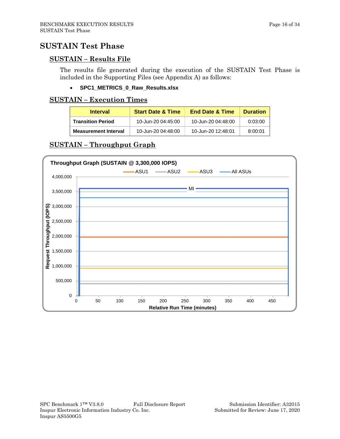## <span id="page-15-0"></span>**SUSTAIN Test Phase**

#### **SUSTAIN – Results File**

The results file generated during the execution of the SUSTAIN Test Phase is included in the Supporting Files (see Appendix A) as follows:

• **SPC1\_METRICS\_0\_Raw\_Results.xlsx**

#### **SUSTAIN – Execution Times**

| <b>Interval</b>             | <b>Start Date &amp; Time</b> | <b>End Date &amp; Time</b> | <b>Duration</b> |
|-----------------------------|------------------------------|----------------------------|-----------------|
| <b>Transition Period</b>    | 10-Jun-20 04:45:00           | 10-Jun-20 04:48:00         | 0:03:00         |
| <b>Measurement Interval</b> | 10-Jun-20 04:48:00           | 10-Jun-20 12:48:01         | 8:00:01         |

### **SUSTAIN – Throughput Graph**

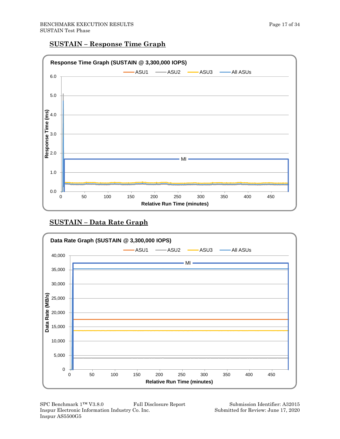### **SUSTAIN – Response Time Graph**



## **SUSTAIN – Data Rate Graph**



SPC Benchmark 1™ V3.8.0 Full Disclosure Report Submission Identifier: A32015 Inspur Electronic Information Industry Co. Inc. Submitted for Review: June 17, 2020 Inspur AS5500G5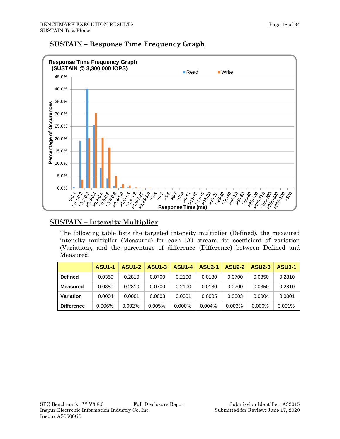

### **SUSTAIN – Response Time Frequency Graph**

## **SUSTAIN – Intensity Multiplier**

The following table lists the targeted intensity multiplier (Defined), the measured intensity multiplier (Measured) for each I/O stream, its coefficient of variation (Variation), and the percentage of difference (Difference) between Defined and Measured.

|                   | <b>ASU1-1</b> | <b>ASU1-2</b> | <b>ASU1-3</b> | <b>ASU1-4</b> | <b>ASU2-1</b> | <b>ASU2-2</b> | <b>ASU2-3</b> | <b>ASU3-1</b> |
|-------------------|---------------|---------------|---------------|---------------|---------------|---------------|---------------|---------------|
| <b>Defined</b>    | 0.0350        | 0.2810        | 0.0700        | 0.2100        | 0.0180        | 0.0700        | 0.0350        | 0.2810        |
| Measured          | 0.0350        | 0.2810        | 0.0700        | 0.2100        | 0.0180        | 0.0700        | 0.0350        | 0.2810        |
| Variation         | 0.0004        | 0.0001        | 0.0003        | 0.0001        | 0.0005        | 0.0003        | 0.0004        | 0.0001        |
| <b>Difference</b> | 0.006%        | 0.002%        | 0.005%        | 0.000%        | 0.004%        | 0.003%        | $0.006\%$     | 0.001%        |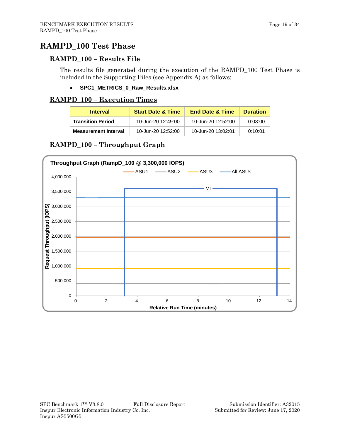## <span id="page-18-0"></span>**RAMPD\_100 Test Phase**

### **RAMPD\_100 – Results File**

The results file generated during the execution of the RAMPD\_100 Test Phase is included in the Supporting Files (see Appendix A) as follows:

#### • **SPC1\_METRICS\_0\_Raw\_Results.xlsx**

#### **RAMPD\_100 – Execution Times**

| <b>Interval</b>             | <b>Start Date &amp; Time</b> | <b>End Date &amp; Time</b> | <b>Duration</b> |
|-----------------------------|------------------------------|----------------------------|-----------------|
| <b>Transition Period</b>    | 10-Jun-20 12:49:00           | 10-Jun-20 12:52:00         | 0:03:00         |
| <b>Measurement Interval</b> | 10-Jun-20 12:52:00           | 10-Jun-20 13:02:01         | 0:10:01         |

### **RAMPD\_100 – Throughput Graph**

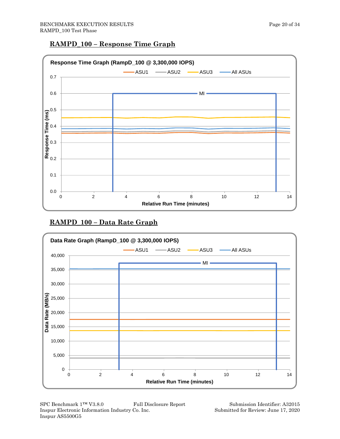#### **RAMPD\_100 – Response Time Graph**



## **RAMPD\_100 – Data Rate Graph**



SPC Benchmark 1™ V3.8.0 Full Disclosure Report Submission Identifier: A32015 Inspur Electronic Information Industry Co. Inc. Submitted for Review: June 17, 2020 Inspur AS5500G5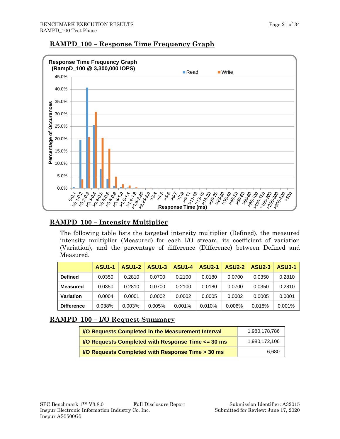



## **RAMPD\_100 – Response Time Frequency Graph**

## **RAMPD\_100 – Intensity Multiplier**

The following table lists the targeted intensity multiplier (Defined), the measured intensity multiplier (Measured) for each I/O stream, its coefficient of variation (Variation), and the percentage of difference (Difference) between Defined and Measured.

|                   | <b>ASU1-1</b> | <b>ASU1-2</b> | <b>ASU1-3</b> | <b>ASU1-4</b> | <b>ASU2-1</b> | <b>ASU2-2</b> | <b>ASU2-3</b> | <b>ASU3-1</b> |
|-------------------|---------------|---------------|---------------|---------------|---------------|---------------|---------------|---------------|
| <b>Defined</b>    | 0.0350        | 0.2810        | 0.0700        | 0.2100        | 0.0180        | 0.0700        | 0.0350        | 0.2810        |
| <b>Measured</b>   | 0.0350        | 0.2810        | 0.0700        | 0.2100        | 0.0180        | 0.0700        | 0.0350        | 0.2810        |
| Variation         | 0.0004        | 0.0001        | 0.0002        | 0.0002        | 0.0005        | 0.0002        | 0.0005        | 0.0001        |
| <b>Difference</b> | 0.038%        | 0.003%        | 0.005%        | $0.001\%$     | 0.010%        | $0.006\%$     | 0.018%        | $0.001\%$     |

## **RAMPD\_100 – I/O Request Summary**

| <b>I/O Requests Completed in the Measurement Interval</b>                | 1,980,178,786 |
|--------------------------------------------------------------------------|---------------|
| <b>I/O Requests Completed with Response Time <math>\leq</math> 30 ms</b> | 1,980,172,106 |
| I/O Requests Completed with Response Time > 30 ms                        | 6.680         |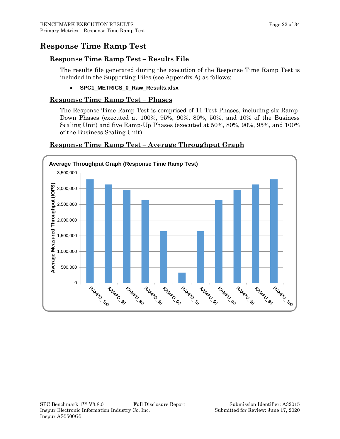## <span id="page-21-0"></span>**Response Time Ramp Test**

### **Response Time Ramp Test – Results File**

The results file generated during the execution of the Response Time Ramp Test is included in the Supporting Files (see Appendix A) as follows:

• **SPC1\_METRICS\_0\_Raw\_Results.xlsx**

#### **Response Time Ramp Test – Phases**

The Response Time Ramp Test is comprised of 11 Test Phases, including six Ramp-Down Phases (executed at 100%, 95%, 90%, 80%, 50%, and 10% of the Business Scaling Unit) and five Ramp-Up Phases (executed at 50%, 80%, 90%, 95%, and 100% of the Business Scaling Unit).



#### **Response Time Ramp Test – Average Throughput Graph**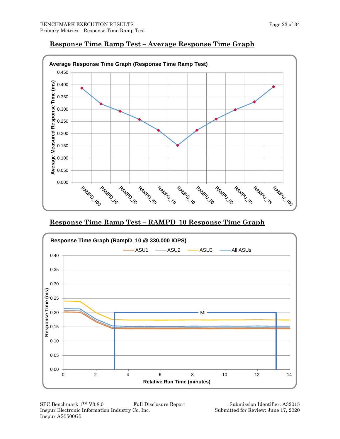

## **Response Time Ramp Test – Average Response Time Graph**

**Response Time Ramp Test – RAMPD\_10 Response Time Graph**



SPC Benchmark 1™ V3.8.0 Full Disclosure Report Submission Identifier: A32015 Inspur Electronic Information Industry Co. Inc. Submitted for Review: June 17, 2020 Inspur AS5500G5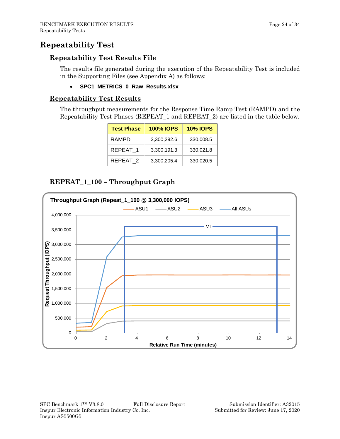## <span id="page-23-0"></span>**Repeatability Test**

#### **Repeatability Test Results File**

The results file generated during the execution of the Repeatability Test is included in the Supporting Files (see Appendix A) as follows:

• **SPC1\_METRICS\_0\_Raw\_Results.xlsx**

#### **Repeatability Test Results**

The throughput measurements for the Response Time Ramp Test (RAMPD) and the Repeatability Test Phases (REPEAT\_1 and REPEAT\_2) are listed in the table below.

| <b>Test Phase</b> | <b>100% IOPS</b> | <b>10% IOPS</b> |
|-------------------|------------------|-----------------|
| RAMPD             | 3,300,292.6      | 330,008.5       |
| REPEAT 1          | 3,300,191.3      | 330,021.8       |
| REPEAT 2          | 3,300,205.4      | 330,020.5       |

### **REPEAT\_1\_100 – Throughput Graph**

![](_page_23_Figure_10.jpeg)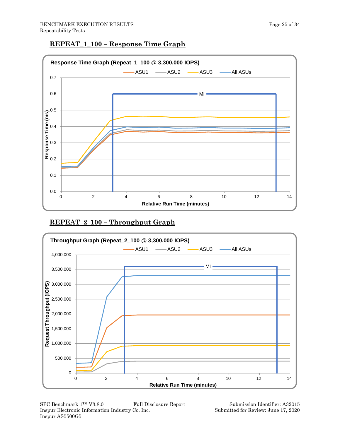## **REPEAT\_1\_100 – Response Time Graph**

![](_page_24_Figure_3.jpeg)

## **REPEAT\_2\_100 – Throughput Graph**

![](_page_24_Figure_5.jpeg)

SPC Benchmark 1™ V3.8.0 Full Disclosure Report Submission Identifier: A32015 Inspur Electronic Information Industry Co. Inc. Submitted for Review: June 17, 2020 Inspur AS5500G5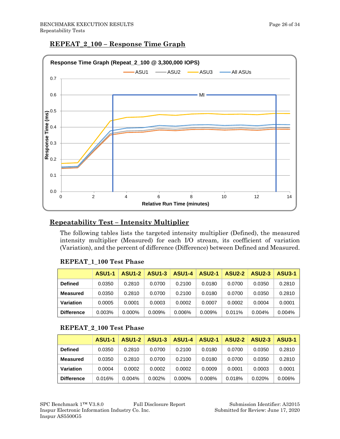#### **REPEAT\_2\_100 – Response Time Graph**

![](_page_25_Figure_3.jpeg)

## **Repeatability Test – Intensity Multiplier**

The following tables lists the targeted intensity multiplier (Defined), the measured intensity multiplier (Measured) for each I/O stream, its coefficient of variation (Variation), and the percent of difference (Difference) between Defined and Measured.

|                   | <b>ASU1-1</b> | <b>ASU1-2</b> | <b>ASU1-3</b> | <b>ASU1-4</b> | <b>ASU2-1</b> | <b>ASU2-2</b> | <b>ASU2-3</b> | <b>ASU3-1</b> |
|-------------------|---------------|---------------|---------------|---------------|---------------|---------------|---------------|---------------|
| <b>Defined</b>    | 0.0350        | 0.2810        | 0.0700        | 0.2100        | 0.0180        | 0.0700        | 0.0350        | 0.2810        |
| <b>Measured</b>   | 0.0350        | 0.2810        | 0.0700        | 0.2100        | 0.0180        | 0.0700        | 0.0350        | 0.2810        |
| Variation         | 0.0005        | 0.0001        | 0.0003        | 0.0002        | 0.0007        | 0.0002        | 0.0004        | 0.0001        |
| <b>Difference</b> | 0.003%        | $0.000\%$     | 0.009%        | $0.006\%$     | 0.009%        | 0.011%        | $0.004\%$     | $0.004\%$     |

#### **REPEAT\_1\_100 Test Phase**

#### **REPEAT\_2\_100 Test Phase**

|                   | <b>ASU1-1</b> | <b>ASU1-2</b> | <b>ASU1-3</b> | <b>ASU1-4</b> | <b>ASU2-1</b> | <b>ASU2-2</b> | <b>ASU2-3</b> | <b>ASU3-1</b> |
|-------------------|---------------|---------------|---------------|---------------|---------------|---------------|---------------|---------------|
| <b>Defined</b>    | 0.0350        | 0.2810        | 0.0700        | 0.2100        | 0.0180        | 0.0700        | 0.0350        | 0.2810        |
| <b>Measured</b>   | 0.0350        | 0.2810        | 0.0700        | 0.2100        | 0.0180        | 0.0700        | 0.0350        | 0.2810        |
| Variation         | 0.0004        | 0.0002        | 0.0002        | 0.0002        | 0.0009        | 0.0001        | 0.0003        | 0.0001        |
| <b>Difference</b> | 0.016%        | $0.004\%$     | 0.002%        | $0.000\%$     | 0.008%        | 0.018%        | 0.020%        | 0.006%        |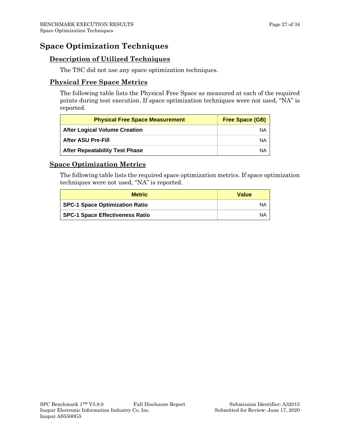## <span id="page-26-0"></span>**Space Optimization Techniques**

### **Description of Utilized Techniques**

The TSC did not use any space optimization techniques.

### **Physical Free Space Metrics**

The following table lists the Physical Free Space as measured at each of the required points during test execution. If space optimization techniques were not used, "NA" is reported.

| <b>Physical Free Space Measurement</b> | <b>Free Space (GB)</b> |
|----------------------------------------|------------------------|
| <b>After Logical Volume Creation</b>   | NA                     |
| <b>After ASU Pre-Fill</b>              | NA                     |
| <b>After Repeatability Test Phase</b>  | NA                     |

### **Space Optimization Metrics**

The following table lists the required space optimization metrics. If space optimization techniques were not used, "NA" is reported.

| <b>Metric</b>                          | <b>Value</b> |
|----------------------------------------|--------------|
| <b>SPC-1 Space Optimization Ratio</b>  | ΝA           |
| <b>SPC-1 Space Effectiveness Ratio</b> | ΝA           |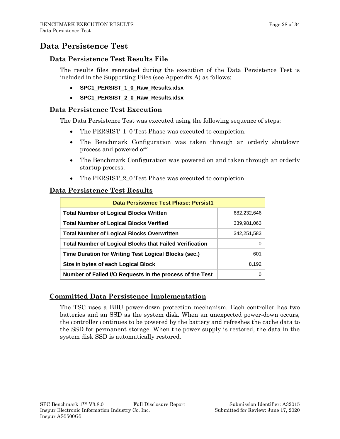## <span id="page-27-0"></span>**Data Persistence Test**

#### **Data Persistence Test Results File**

The results files generated during the execution of the Data Persistence Test is included in the Supporting Files (see Appendix A) as follows:

- **SPC1\_PERSIST\_1\_0\_Raw\_Results.xlsx**
- **SPC1\_PERSIST\_2\_0\_Raw\_Results.xlsx**

#### **Data Persistence Test Execution**

The Data Persistence Test was executed using the following sequence of steps:

- The PERSIST 1 0 Test Phase was executed to completion.
- The Benchmark Configuration was taken through an orderly shutdown process and powered off.
- The Benchmark Configuration was powered on and taken through an orderly startup process.
- The PERSIST 2 0 Test Phase was executed to completion.

#### **Data Persistence Test Results**

| Data Persistence Test Phase: Persist1                          |             |  |  |  |
|----------------------------------------------------------------|-------------|--|--|--|
| <b>Total Number of Logical Blocks Written</b>                  | 682,232,646 |  |  |  |
| <b>Total Number of Logical Blocks Verified</b>                 | 339,981,063 |  |  |  |
| <b>Total Number of Logical Blocks Overwritten</b>              | 342,251,583 |  |  |  |
| <b>Total Number of Logical Blocks that Failed Verification</b> | $\Omega$    |  |  |  |
| Time Duration for Writing Test Logical Blocks (sec.)           | 601         |  |  |  |
| Size in bytes of each Logical Block                            | 8,192       |  |  |  |
| Number of Failed I/O Requests in the process of the Test       |             |  |  |  |

#### **Committed Data Persistence Implementation**

The TSC uses a BBU power-down protection mechanism. Each controller has two batteries and an SSD as the system disk. When an unexpected power-down occurs, the controller continues to be powered by the battery and refreshes the cache data to the SSD for permanent storage. When the power supply is restored, the data in the system disk SSD is automatically restored.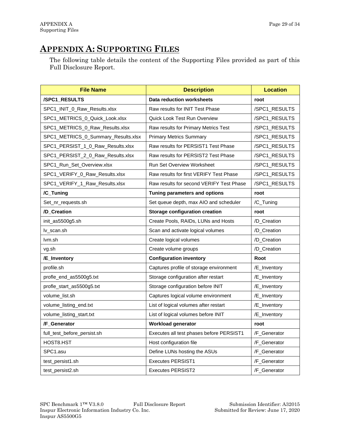## <span id="page-28-0"></span>**APPENDIX A: SUPPORTING FILES**

The following table details the content of the Supporting Files provided as part of this Full Disclosure Report.

| <b>File Name</b>                    | <b>Description</b>                       | <b>Location</b> |
|-------------------------------------|------------------------------------------|-----------------|
| /SPC1_RESULTS                       | <b>Data reduction worksheets</b>         | root            |
| SPC1_INIT_0_Raw_Results.xlsx        | Raw results for INIT Test Phase          | /SPC1_RESULTS   |
| SPC1_METRICS_0_Quick_Look.xlsx      | Quick Look Test Run Overview             | /SPC1_RESULTS   |
| SPC1_METRICS_0_Raw_Results.xlsx     | Raw results for Primary Metrics Test     | /SPC1_RESULTS   |
| SPC1_METRICS_0_Summary_Results.xlsx | <b>Primary Metrics Summary</b>           | /SPC1_RESULTS   |
| SPC1_PERSIST_1_0_Raw_Results.xlsx   | Raw results for PERSIST1 Test Phase      | /SPC1_RESULTS   |
| SPC1_PERSIST_2_0_Raw_Results.xlsx   | Raw results for PERSIST2 Test Phase      | /SPC1_RESULTS   |
| SPC1_Run_Set_Overview.xlsx          | <b>Run Set Overview Worksheet</b>        | /SPC1_RESULTS   |
| SPC1_VERIFY_0_Raw_Results.xlsx      | Raw results for first VERIFY Test Phase  | /SPC1_RESULTS   |
| SPC1_VERIFY_1_Raw_Results.xlsx      | Raw results for second VERIFY Test Phase | /SPC1_RESULTS   |
| /C_Tuning                           | Tuning parameters and options            | root            |
| Set nr requests.sh                  | Set queue depth, max AIO and scheduler   | /C_Tuning       |
| /D_Creation                         | <b>Storage configuration creation</b>    | root            |
| init_as5500g5.sh                    | Create Pools, RAIDs, LUNs and Hosts      | /D_Creation     |
| lv_scan.sh                          | Scan and activate logical volumes        | /D_Creation     |
| lvm.sh                              | Create logical volumes                   | /D_Creation     |
| vg.sh                               | Create volume groups                     | /D_Creation     |
| /E_Inventory                        | <b>Configuration inventory</b>           | Root            |
| profile.sh                          | Captures profile of storage environment  | /E_Inventory    |
| profle_end_as5500g5.txt             | Storage configuration after restart      | /E_Inventory    |
| profle_start_as5500g5.txt           | Storage configuration before INIT        | /E_Inventory    |
| volume_list.sh                      | Captures logical volume environment      | /E_Inventory    |
| volume_listing_end.txt              | List of logical volumes after restart    | /E_Inventory    |
| volume_listing_start.txt            | List of logical volumes before INIT      | /E_Inventory    |
| /F_Generator                        | <b>Workload generator</b>                | root            |
| full_test_before_persist.sh         | Executes all test phases before PERSIST1 | /F_Generator    |
| HOST8.HST                           | Host configuration file                  | /F_Generator    |
| SPC1.asu                            | Define LUNs hosting the ASUs             | /F_Generator    |
| test_persist1.sh                    | <b>Executes PERSIST1</b>                 | /F_Generator    |
| test_persist2.sh                    | <b>Executes PERSIST2</b>                 | /F Generator    |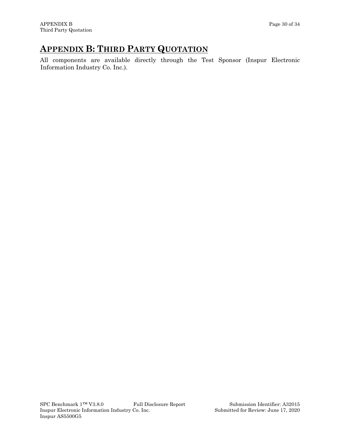## <span id="page-29-0"></span>**APPENDIX B: THIRD PARTY QUOTATION**

All components are available directly through the Test Sponsor (Inspur Electronic Information Industry Co. Inc.).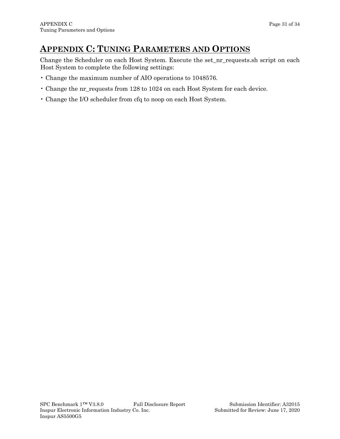## <span id="page-30-0"></span>**APPENDIX C: TUNING PARAMETERS AND OPTIONS**

Change the Scheduler on each Host System. Execute the set\_nr\_requests.sh script on each Host System to complete the following settings:

- Change the maximum number of AIO operations to 1048576.
- Change the nr\_requests from 128 to 1024 on each Host System for each device.
- Change the I/O scheduler from cfq to noop on each Host System.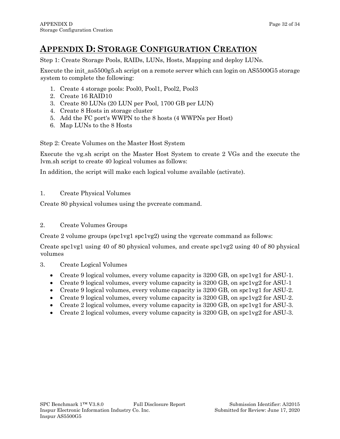## <span id="page-31-0"></span>**APPENDIX D: STORAGE CONFIGURATION CREATION**

Step 1: Create Storage Pools, RAIDs, LUNs, Hosts, Mapping and deploy LUNs.

Execute the init as5500g5.sh script on a remote server which can login on AS5500G5 storage system to complete the following:

- 1. Create 4 storage pools: Pool0, Pool1, Pool2, Pool3
- 2. Create 16 RAID10
- 3. Create 80 LUNs (20 LUN per Pool, 1700 GB per LUN)
- 4. Create 8 Hosts in storage cluster
- 5. Add the FC port's WWPN to the 8 hosts (4 WWPNs per Host)
- 6. Map LUNs to the 8 Hosts

Step 2: Create Volumes on the Master Host System

Execute the vg.sh script on the Master Host System to create 2 VGs and the execute the lvm.sh script to create 40 logical volumes as follows:

In addition, the script will make each logical volume available (activate).

#### 1. Create Physical Volumes

Create 80 physical volumes using the pvcreate command.

#### 2. Create Volumes Groups

Create 2 volume groups (spc1vg1 spc1vg2) using the vgcreate command as follows:

Create spc1vg1 using 40 of 80 physical volumes, and create spc1vg2 using 40 of 80 physical volumes

- 3. Create Logical Volumes
	- Create 9 logical volumes, every volume capacity is 3200 GB, on spc1vg1 for ASU-1.
	- Create 9 logical volumes, every volume capacity is 3200 GB, on spc1vg2 for ASU-1
	- Create 9 logical volumes, every volume capacity is 3200 GB, on spc1vg1 for ASU-2.
	- Create 9 logical volumes, every volume capacity is 3200 GB, on spc1vg2 for ASU-2.
	- Create 2 logical volumes, every volume capacity is 3200 GB, on spc1vg1 for ASU-3.
	- Create 2 logical volumes, every volume capacity is 3200 GB, on spc1vg2 for ASU-3.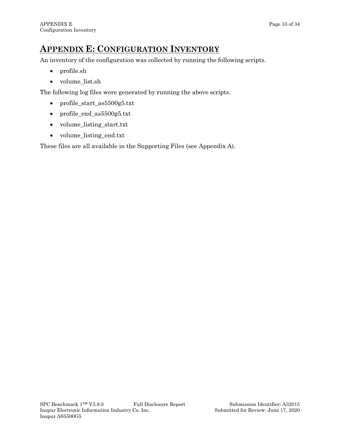## <span id="page-32-0"></span>**APPENDIX E: CONFIGURATION INVENTORY**

An inventory of the configuration was collected by running the following scripts.

- profile.sh
- volume\_list.sh

The following log files were generated by running the above scripts.

- profile\_start\_as5500g5.txt
- profile\_end\_as5500g5.txt
- volume\_listing\_start.txt
- volume\_listing\_end.txt

These files are all available in the Supporting Files (see Appendix A).